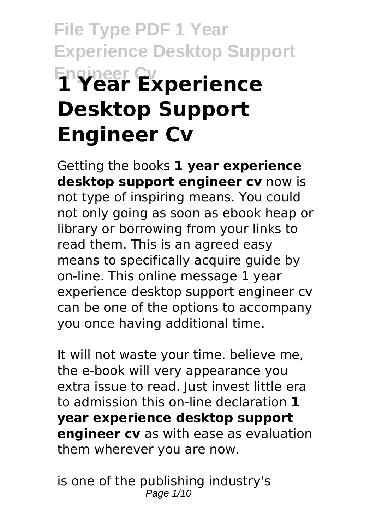# **File Type PDF 1 Year Experience Desktop Support Engineer Cv 1 Year Experience Desktop Support Engineer Cv**

Getting the books **1 year experience desktop support engineer cv** now is not type of inspiring means. You could not only going as soon as ebook heap or library or borrowing from your links to read them. This is an agreed easy means to specifically acquire guide by on-line. This online message 1 year experience desktop support engineer cv can be one of the options to accompany you once having additional time.

It will not waste your time. believe me, the e-book will very appearance you extra issue to read. Just invest little era to admission this on-line declaration **1 year experience desktop support engineer cv** as with ease as evaluation them wherever you are now.

is one of the publishing industry's Page  $1/10$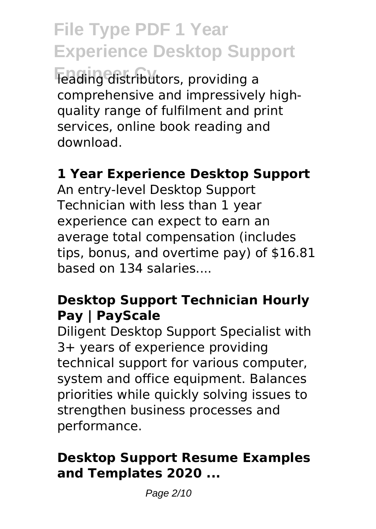**File Type PDF 1 Year Experience Desktop Support Feading distributors, providing a** comprehensive and impressively highquality range of fulfilment and print services, online book reading and download.

# **1 Year Experience Desktop Support**

An entry-level Desktop Support Technician with less than 1 year experience can expect to earn an average total compensation (includes tips, bonus, and overtime pay) of \$16.81 based on 134 salaries....

### **Desktop Support Technician Hourly Pay | PayScale**

Diligent Desktop Support Specialist with 3+ years of experience providing technical support for various computer, system and office equipment. Balances priorities while quickly solving issues to strengthen business processes and performance.

### **Desktop Support Resume Examples and Templates 2020 ...**

Page 2/10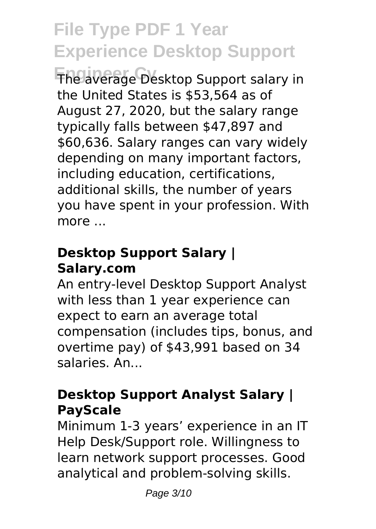**Engineer Cv** The average Desktop Support salary in the United States is \$53,564 as of August 27, 2020, but the salary range typically falls between \$47,897 and \$60,636. Salary ranges can vary widely depending on many important factors, including education, certifications, additional skills, the number of years you have spent in your profession. With more ...

# **Desktop Support Salary | Salary.com**

An entry-level Desktop Support Analyst with less than 1 year experience can expect to earn an average total compensation (includes tips, bonus, and overtime pay) of \$43,991 based on 34 salaries. An...

# **Desktop Support Analyst Salary | PayScale**

Minimum 1-3 years' experience in an IT Help Desk/Support role. Willingness to learn network support processes. Good analytical and problem-solving skills.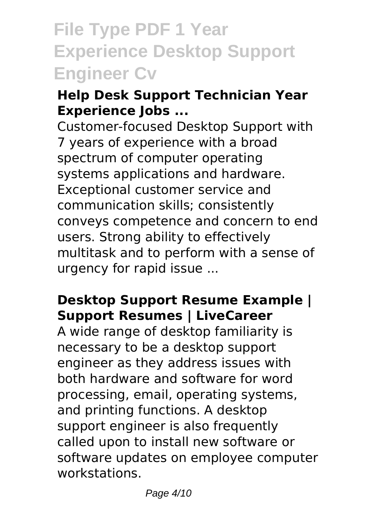# **File Type PDF 1 Year Experience Desktop Support Engineer Cv**

# **Help Desk Support Technician Year Experience Jobs ...**

Customer-focused Desktop Support with 7 years of experience with a broad spectrum of computer operating systems applications and hardware. Exceptional customer service and communication skills; consistently conveys competence and concern to end users. Strong ability to effectively multitask and to perform with a sense of urgency for rapid issue ...

### **Desktop Support Resume Example | Support Resumes | LiveCareer**

A wide range of desktop familiarity is necessary to be a desktop support engineer as they address issues with both hardware and software for word processing, email, operating systems, and printing functions. A desktop support engineer is also frequently called upon to install new software or software updates on employee computer workstations.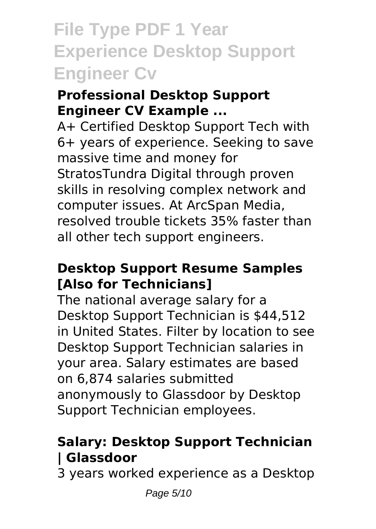# **File Type PDF 1 Year Experience Desktop Support Engineer Cv**

### **Professional Desktop Support Engineer CV Example ...**

A+ Certified Desktop Support Tech with 6+ years of experience. Seeking to save massive time and money for StratosTundra Digital through proven skills in resolving complex network and computer issues. At ArcSpan Media, resolved trouble tickets 35% faster than all other tech support engineers.

### **Desktop Support Resume Samples [Also for Technicians]**

The national average salary for a Desktop Support Technician is \$44,512 in United States. Filter by location to see Desktop Support Technician salaries in your area. Salary estimates are based on 6,874 salaries submitted anonymously to Glassdoor by Desktop Support Technician employees.

# **Salary: Desktop Support Technician | Glassdoor**

3 years worked experience as a Desktop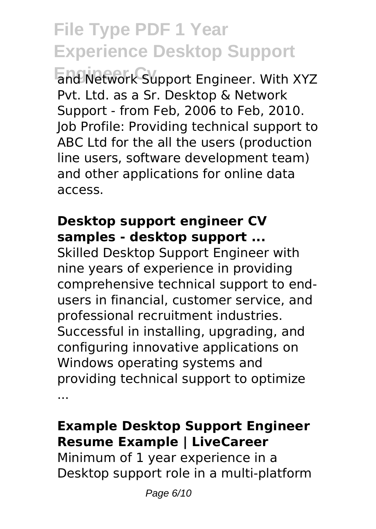**Engineer Cv** and Network Support Engineer. With XYZ Pvt. Ltd. as a Sr. Desktop & Network Support - from Feb, 2006 to Feb, 2010. Job Profile: Providing technical support to ABC Ltd for the all the users (production line users, software development team) and other applications for online data access.

#### **Desktop support engineer CV samples - desktop support ...**

Skilled Desktop Support Engineer with nine years of experience in providing comprehensive technical support to endusers in financial, customer service, and professional recruitment industries. Successful in installing, upgrading, and configuring innovative applications on Windows operating systems and providing technical support to optimize ...

### **Example Desktop Support Engineer Resume Example | LiveCareer**

Minimum of 1 year experience in a Desktop support role in a multi-platform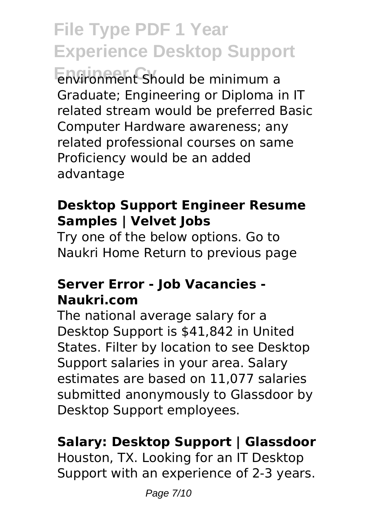**Environment Should be minimum a** Graduate; Engineering or Diploma in IT related stream would be preferred Basic Computer Hardware awareness; any related professional courses on same Proficiency would be an added advantage

# **Desktop Support Engineer Resume Samples | Velvet Jobs**

Try one of the below options. Go to Naukri Home Return to previous page

#### **Server Error - Job Vacancies - Naukri.com**

The national average salary for a Desktop Support is \$41,842 in United States. Filter by location to see Desktop Support salaries in your area. Salary estimates are based on 11,077 salaries submitted anonymously to Glassdoor by Desktop Support employees.

# **Salary: Desktop Support | Glassdoor**

Houston, TX. Looking for an IT Desktop Support with an experience of 2-3 years.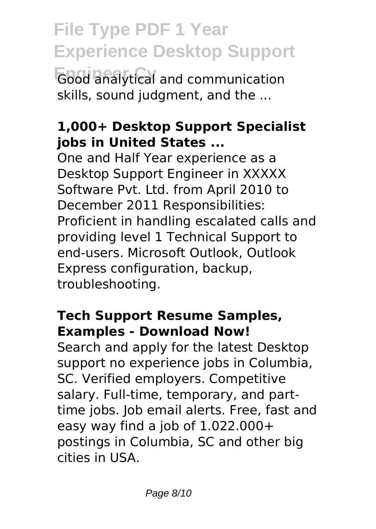**File Type PDF 1 Year Experience Desktop Support Eood analytical and communication** skills, sound judgment, and the ...

### **1,000+ Desktop Support Specialist jobs in United States ...**

One and Half Year experience as a Desktop Support Engineer in XXXXX Software Pvt. Ltd. from April 2010 to December 2011 Responsibilities: Proficient in handling escalated calls and providing level 1 Technical Support to end-users. Microsoft Outlook, Outlook Express configuration, backup, troubleshooting.

### **Tech Support Resume Samples, Examples - Download Now!**

Search and apply for the latest Desktop support no experience jobs in Columbia, SC. Verified employers. Competitive salary. Full-time, temporary, and parttime jobs. Job email alerts. Free, fast and easy way find a job of  $1.022.000+$ postings in Columbia, SC and other big cities in USA.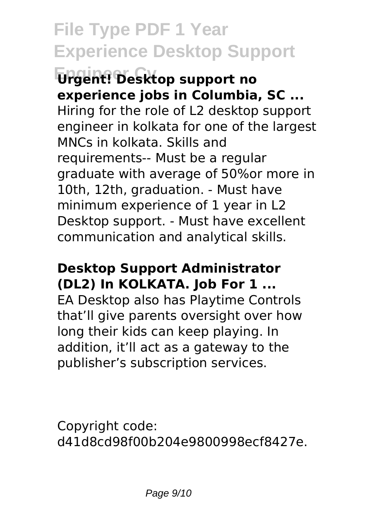**Engineer Cv Urgent! Desktop support no experience jobs in Columbia, SC ...** Hiring for the role of L2 desktop support engineer in kolkata for one of the largest MNCs in kolkata. Skills and requirements-- Must be a regular graduate with average of 50%or more in 10th, 12th, graduation. - Must have minimum experience of 1 year in L2 Desktop support. - Must have excellent communication and analytical skills.

#### **Desktop Support Administrator (DL2) In KOLKATA. Job For 1 ...**

EA Desktop also has Playtime Controls that'll give parents oversight over how long their kids can keep playing. In addition, it'll act as a gateway to the publisher's subscription services.

Copyright code: d41d8cd98f00b204e9800998ecf8427e.